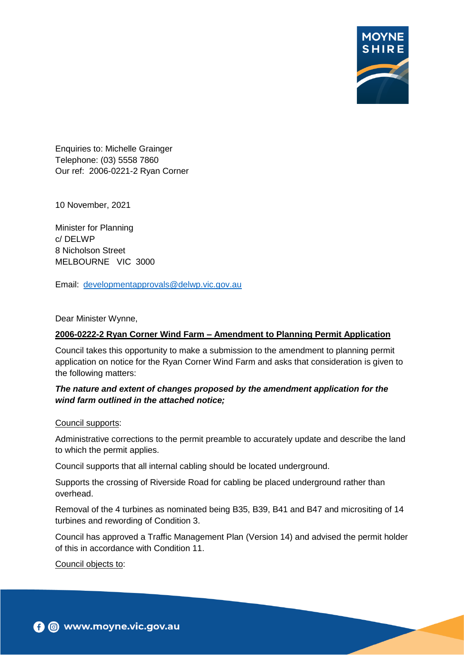

Enquiries to: Michelle Grainger Telephone: (03) 5558 7860 Our ref: 2006-0221-2 Ryan Corner

10 November, 2021

Minister for Planning c/ DELWP 8 Nicholson Street MELBOURNE VIC 3000

Email: [developmentapprovals@delwp.vic.gov.au](mailto:developmentapprovals@delwp.vic.gov.au)

Dear Minister Wynne,

#### **2006-0222-2 Ryan Corner Wind Farm – Amendment to Planning Permit Application**

Council takes this opportunity to make a submission to the amendment to planning permit application on notice for the Ryan Corner Wind Farm and asks that consideration is given to the following matters:

#### *The nature and extent of changes proposed by the amendment application for the wind farm outlined in the attached notice;*

#### Council supports:

Administrative corrections to the permit preamble to accurately update and describe the land to which the permit applies.

Council supports that all internal cabling should be located underground.

Supports the crossing of Riverside Road for cabling be placed underground rather than overhead.

Removal of the 4 turbines as nominated being B35, B39, B41 and B47 and micrositing of 14 turbines and rewording of Condition 3.

Council has approved a Traffic Management Plan (Version 14) and advised the permit holder of this in accordance with Condition 11.

Council objects to: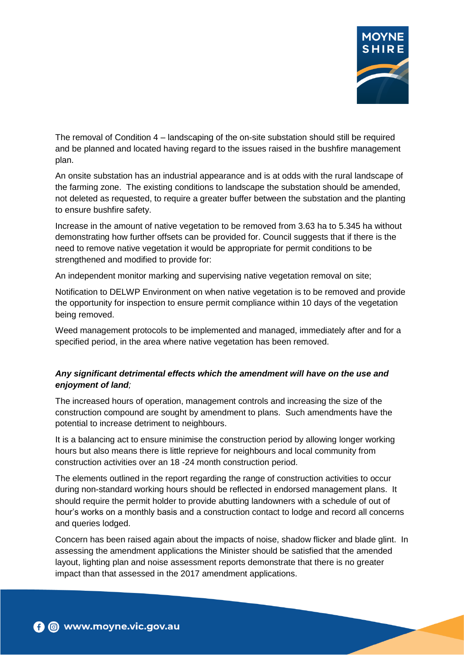

The removal of Condition 4 – landscaping of the on-site substation should still be required and be planned and located having regard to the issues raised in the bushfire management plan.

An onsite substation has an industrial appearance and is at odds with the rural landscape of the farming zone. The existing conditions to landscape the substation should be amended, not deleted as requested, to require a greater buffer between the substation and the planting to ensure bushfire safety.

Increase in the amount of native vegetation to be removed from 3.63 ha to 5.345 ha without demonstrating how further offsets can be provided for. Council suggests that if there is the need to remove native vegetation it would be appropriate for permit conditions to be strengthened and modified to provide for:

An independent monitor marking and supervising native vegetation removal on site;

Notification to DELWP Environment on when native vegetation is to be removed and provide the opportunity for inspection to ensure permit compliance within 10 days of the vegetation being removed.

Weed management protocols to be implemented and managed, immediately after and for a specified period, in the area where native vegetation has been removed.

## *Any significant detrimental effects which the amendment will have on the use and enjoyment of land;*

The increased hours of operation, management controls and increasing the size of the construction compound are sought by amendment to plans. Such amendments have the potential to increase detriment to neighbours.

It is a balancing act to ensure minimise the construction period by allowing longer working hours but also means there is little reprieve for neighbours and local community from construction activities over an 18 -24 month construction period.

The elements outlined in the report regarding the range of construction activities to occur during non-standard working hours should be reflected in endorsed management plans. It should require the permit holder to provide abutting landowners with a schedule of out of hour's works on a monthly basis and a construction contact to lodge and record all concerns and queries lodged.

Concern has been raised again about the impacts of noise, shadow flicker and blade glint. In assessing the amendment applications the Minister should be satisfied that the amended layout, lighting plan and noise assessment reports demonstrate that there is no greater impact than that assessed in the 2017 amendment applications.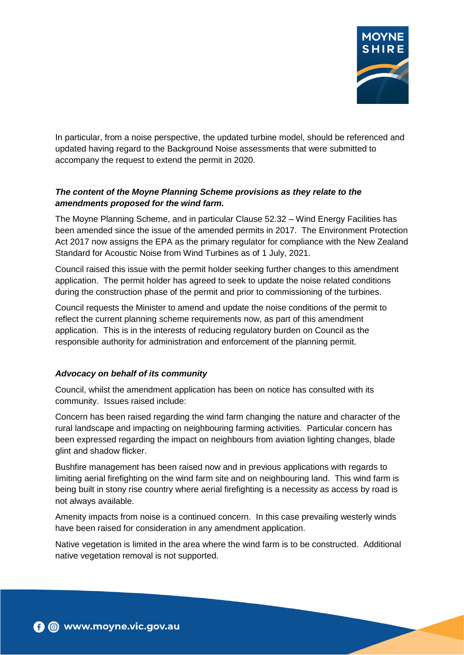

In particular, from a noise perspective, the updated turbine model, should be referenced and updated having regard to the Background Noise assessments that were submitted to accompany the request to extend the permit in 2020.

# *The content of the Moyne Planning Scheme provisions as they relate to the amendments proposed for the wind farm.*

The Moyne Planning Scheme, and in particular Clause 52.32 – Wind Energy Facilities has been amended since the issue of the amended permits in 2017. The Environment Protection Act 2017 now assigns the EPA as the primary regulator for compliance with the New Zealand Standard for Acoustic Noise from Wind Turbines as of 1 July, 2021.

Council raised this issue with the permit holder seeking further changes to this amendment application. The permit holder has agreed to seek to update the noise related conditions during the construction phase of the permit and prior to commissioning of the turbines.

Council requests the Minister to amend and update the noise conditions of the permit to reflect the current planning scheme requirements now, as part of this amendment application. This is in the interests of reducing regulatory burden on Council as the responsible authority for administration and enforcement of the planning permit.

# *Advocacy on behalf of its community*

Council, whilst the amendment application has been on notice has consulted with its community. Issues raised include:

Concern has been raised regarding the wind farm changing the nature and character of the rural landscape and impacting on neighbouring farming activities. Particular concern has been expressed regarding the impact on neighbours from aviation lighting changes, blade glint and shadow flicker.

Bushfire management has been raised now and in previous applications with regards to limiting aerial firefighting on the wind farm site and on neighbouring land. This wind farm is being built in stony rise country where aerial firefighting is a necessity as access by road is not always available.

Amenity impacts from noise is a continued concern. In this case prevailing westerly winds have been raised for consideration in any amendment application.

Native vegetation is limited in the area where the wind farm is to be constructed. Additional native vegetation removal is not supported.